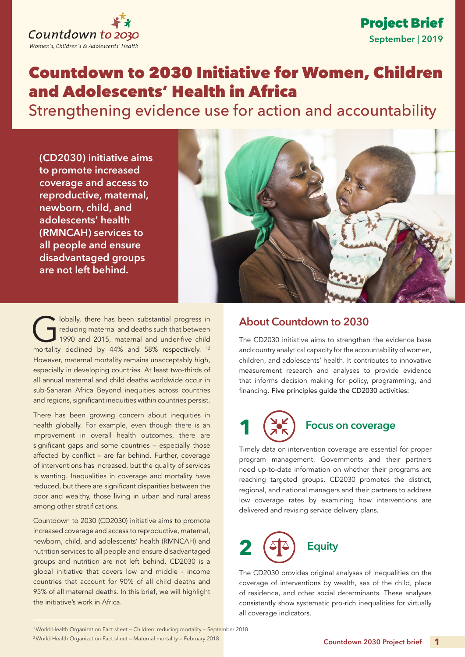

## **September | 2019**  Project Brief

## Countdown to 2030 Initiative for Women, Children and Adolescents' Health in Africa

Strengthening evidence use for action and accountability

**(CD2030) initiative aims to promote increased coverage and access to reproductive, maternal, newborn, child, and adolescents' health (RMNCAH) services to all people and ensure disadvantaged groups are not left behind.**



Iobally, there has been substantial progress in<br>reducing maternal and deaths such that between<br>1990 and 2015, maternal and under-five child<br>mortality doclined by  $44\%$  and 58% respectively. 12 reducing maternal and deaths such that between 1990 and 2015, maternal and under-five child mortality declined by 44% and 58% respectively. 12 However, maternal mortality remains unacceptably high, especially in developing countries. At least two-thirds of all annual maternal and child deaths worldwide occur in sub-Saharan Africa Beyond inequities across countries and regions, significant inequities within countries persist.

There has been growing concern about inequities in health globally. For example, even though there is an improvement in overall health outcomes, there are significant gaps and some countries – especially those affected by conflict – are far behind. Further, coverage of interventions has increased, but the quality of services is wanting. Inequalities in coverage and mortality have reduced, but there are significant disparities between the poor and wealthy, those living in urban and rural areas among other stratifications.

Countdown to 2030 (CD2030) initiative aims to promote increased coverage and access to reproductive, maternal, newborn, child, and adolescents' health (RMNCAH) and nutrition services to all people and ensure disadvantaged groups and nutrition are not left behind. CD2030 is a global initiative that covers low and middle - income countries that account for 90% of all child deaths and 95% of all maternal deaths. In this brief, we will highlight the initiative's work in Africa.

## **About Countdown to 2030**

The CD2030 initiative aims to strengthen the evidence base and country analytical capacity for the accountability of women, children, and adolescents' health. It contributes to innovative measurement research and analyses to provide evidence that informs decision making for policy, programming, and financing. Five principles guide the CD2030 activities:



## **Focus on coverage**

Timely data on intervention coverage are essential for proper program management. Governments and their partners need up-to-date information on whether their programs are reaching targeted groups. CD2030 promotes the district, regional, and national managers and their partners to address low coverage rates by examining how interventions are delivered and revising service delivery plans.



The CD2030 provides original analyses of inequalities on the coverage of interventions by wealth, sex of the child, place of residence, and other social determinants. These analyses consistently show systematic pro-rich inequalities for virtually all coverage indicators.

<sup>1</sup>World Health Organization Fact sheet – Children: reducing mortality – September 2018

<sup>2</sup> World Health Organization Fact sheet – Maternal mortality – February 2018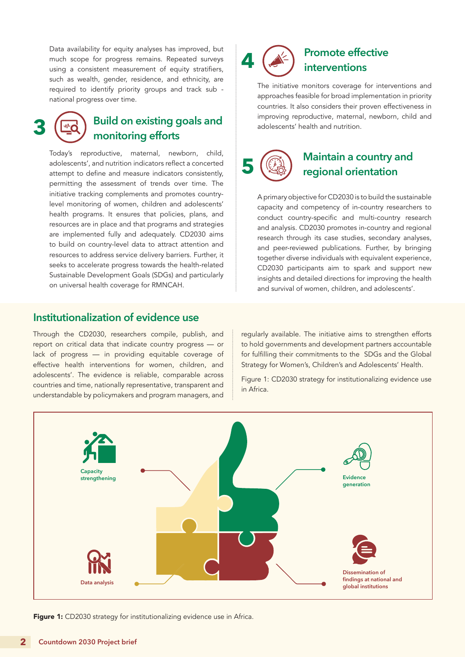Data availability for equity analyses has improved, but much scope for progress remains. Repeated surveys using a consistent measurement of equity stratifiers, such as wealth, gender, residence, and ethnicity, are required to identify priority groups and track sub national progress over time.

# **3**

## **Build on existing goals and monitoring efforts**

Today's reproductive, maternal, newborn, child, adolescents', and nutrition indicators reflect a concerted attempt to define and measure indicators consistently, permitting the assessment of trends over time. The initiative tracking complements and promotes countrylevel monitoring of women, children and adolescents' health programs. It ensures that policies, plans, and resources are in place and that programs and strategies are implemented fully and adequately. CD2030 aims to build on country-level data to attract attention and resources to address service delivery barriers. Further, it seeks to accelerate progress towards the health-related Sustainable Development Goals (SDGs) and particularly on universal health coverage for RMNCAH.

#### **Institutionalization of evidence use**

Through the CD2030, researchers compile, publish, and report on critical data that indicate country progress — or lack of progress — in providing equitable coverage of effective health interventions for women, children, and adolescents'. The evidence is reliable, comparable across countries and time, nationally representative, transparent and understandable by policymakers and program managers, and

regularly available. The initiative aims to strengthen efforts to hold governments and development partners accountable for fulfilling their commitments to the SDGs and the Global Strategy for Women's, Children's and Adolescents' Health.

**Promote effective** 

The initiative monitors coverage for interventions and approaches feasible for broad implementation in priority countries. It also considers their proven effectiveness in improving reproductive, maternal, newborn, child and

**Maintain a country and** 

**regional orientation**

A primary objective for CD2030 is to build the sustainable capacity and competency of in-country researchers to conduct country-specific and multi-country research and analysis. CD2030 promotes in-country and regional research through its case studies, secondary analyses, and peer-reviewed publications. Further, by bringing together diverse individuals with equivalent experience, CD2030 participants aim to spark and support new insights and detailed directions for improving the health and survival of women, children, and adolescents'.

**interventions**

adolescents' health and nutrition.

**4** 

**5** 

Figure 1: CD2030 strategy for institutionalizing evidence use in Africa.



Figure 1: CD2030 strategy for institutionalizing evidence use in Africa.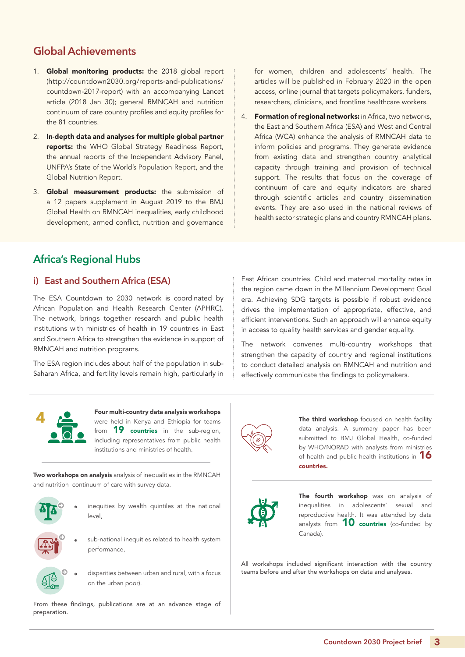## **Global Achievements**

- 1. Global monitoring products: the 2018 global report (http://countdown2030.org/reports-and-publications/ countdown-2017-report) with an accompanying Lancet article (2018 Jan 30); general RMNCAH and nutrition continuum of care country profiles and equity profiles for the 81 countries.
- 2. In-depth data and analyses for multiple global partner reports: the WHO Global Strategy Readiness Report, the annual reports of the Independent Advisory Panel, UNFPA's State of the World's Population Report, and the Global Nutrition Report.
- 3. Global measurement products: the submission of a 12 papers supplement in August 2019 to the BMJ Global Health on RMNCAH inequalities, early childhood development, armed conflict, nutrition and governance

for women, children and adolescents' health. The articles will be published in February 2020 in the open access, online journal that targets policymakers, funders, researchers, clinicians, and frontline healthcare workers.

4. Formation of regional networks: in Africa, two networks, the East and Southern Africa (ESA) and West and Central Africa (WCA) enhance the analysis of RMNCAH data to inform policies and programs. They generate evidence from existing data and strengthen country analytical capacity through training and provision of technical support. The results that focus on the coverage of continuum of care and equity indicators are shared through scientific articles and country dissemination events. They are also used in the national reviews of health sector strategic plans and country RMNCAH plans.

## **Africa's Regional Hubs**

#### **i) East and Southern Africa (ESA)**

The ESA Countdown to 2030 network is coordinated by African Population and Health Research Center (APHRC). The network, brings together research and public health institutions with ministries of health in 19 countries in East and Southern Africa to strengthen the evidence in support of RMNCAH and nutrition programs.

The ESA region includes about half of the population in sub-Saharan Africa, and fertility levels remain high, particularly in

East African countries. Child and maternal mortality rates in the region came down in the Millennium Development Goal era. Achieving SDG targets is possible if robust evidence drives the implementation of appropriate, effective, and efficient interventions. Such an approach will enhance equity in access to quality health services and gender equality.

The network convenes multi-country workshops that strengthen the capacity of country and regional institutions to conduct detailed analysis on RMNCAH and nutrition and effectively communicate the findings to policymakers.



Four multi-country data analysis workshops were held in Kenya and Ethiopia for teams from **19 countries** in the sub-region, including representatives from public health institutions and ministries of health.

Two workshops on analysis analysis of inequalities in the RMNCAH and nutrition continuum of care with survey data.



inequities by wealth quintiles at the national level,



sub-national inequities related to health system performance,



disparities between urban and rural, with a focus on the urban poor).

From these findings, publications are at an advance stage of preparation.

The third workshop focused on health facility data analysis. A summary paper has been submitted to BMJ Global Health, co-funded by WHO/NORAD with analysts from ministries of health and public health institutions in  $16$ countries.



The fourth workshop was on analysis of inequalities in adolescents' sexual and reproductive health. It was attended by data analysts from  $10$  countries (co-funded by Canada).

All workshops included significant interaction with the country teams before and after the workshops on data and analyses.